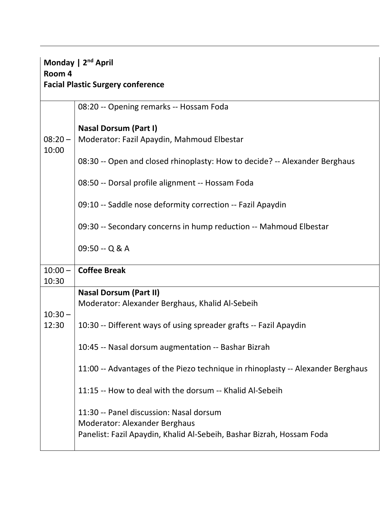| Monday   2 <sup>nd</sup> April<br>Room 4<br><b>Facial Plastic Surgery conference</b> |                                                                                                                                                          |  |
|--------------------------------------------------------------------------------------|----------------------------------------------------------------------------------------------------------------------------------------------------------|--|
|                                                                                      | 08:20 -- Opening remarks -- Hossam Foda                                                                                                                  |  |
| $08:20 -$<br>10:00                                                                   | <b>Nasal Dorsum (Part I)</b><br>Moderator: Fazil Apaydin, Mahmoud Elbestar                                                                               |  |
|                                                                                      | 08:30 -- Open and closed rhinoplasty: How to decide? -- Alexander Berghaus                                                                               |  |
|                                                                                      | 08:50 -- Dorsal profile alignment -- Hossam Foda                                                                                                         |  |
|                                                                                      | 09:10 -- Saddle nose deformity correction -- Fazil Apaydin                                                                                               |  |
|                                                                                      | 09:30 -- Secondary concerns in hump reduction -- Mahmoud Elbestar                                                                                        |  |
|                                                                                      | 09:50 -- Q & A                                                                                                                                           |  |
| $10:00 -$<br>10:30                                                                   | <b>Coffee Break</b>                                                                                                                                      |  |
| $10:30 -$                                                                            | <b>Nasal Dorsum (Part II)</b><br>Moderator: Alexander Berghaus, Khalid Al-Sebeih                                                                         |  |
| 12:30                                                                                | 10:30 -- Different ways of using spreader grafts -- Fazil Apaydin                                                                                        |  |
|                                                                                      | 10:45 -- Nasal dorsum augmentation -- Bashar Bizrah                                                                                                      |  |
|                                                                                      | 11:00 -- Advantages of the Piezo technique in rhinoplasty -- Alexander Berghaus                                                                          |  |
|                                                                                      | 11:15 -- How to deal with the dorsum -- Khalid Al-Sebeih                                                                                                 |  |
|                                                                                      | 11:30 -- Panel discussion: Nasal dorsum<br><b>Moderator: Alexander Berghaus</b><br>Panelist: Fazil Apaydin, Khalid Al-Sebeih, Bashar Bizrah, Hossam Foda |  |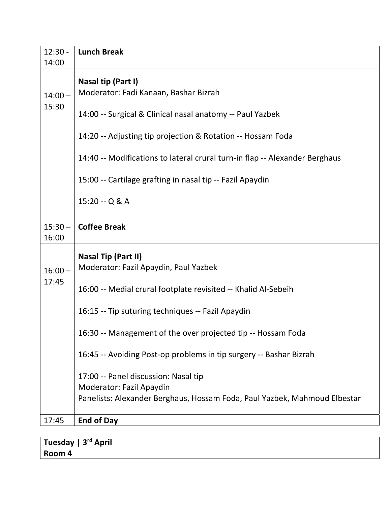| $12:30 -$ | <b>Lunch Break</b>                                                          |
|-----------|-----------------------------------------------------------------------------|
| 14:00     |                                                                             |
|           | Nasal tip (Part I)                                                          |
| $14:00 -$ | Moderator: Fadi Kanaan, Bashar Bizrah                                       |
| 15:30     |                                                                             |
|           | 14:00 -- Surgical & Clinical nasal anatomy -- Paul Yazbek                   |
|           | 14:20 -- Adjusting tip projection & Rotation -- Hossam Foda                 |
|           |                                                                             |
|           | 14:40 -- Modifications to lateral crural turn-in flap -- Alexander Berghaus |
|           | 15:00 -- Cartilage grafting in nasal tip -- Fazil Apaydin                   |
|           |                                                                             |
|           | 15:20 -- Q & A                                                              |
|           |                                                                             |
| $15:30 -$ | <b>Coffee Break</b>                                                         |
| 16:00     |                                                                             |
|           | <b>Nasal Tip (Part II)</b>                                                  |
| $16:00 -$ | Moderator: Fazil Apaydin, Paul Yazbek                                       |
| 17:45     |                                                                             |
|           | 16:00 -- Medial crural footplate revisited -- Khalid Al-Sebeih              |
|           |                                                                             |
|           | 16:15 -- Tip suturing techniques -- Fazil Apaydin                           |
|           | 16:30 -- Management of the over projected tip -- Hossam Foda                |
|           |                                                                             |
|           | 16:45 -- Avoiding Post-op problems in tip surgery -- Bashar Bizrah          |
|           | 17:00 -- Panel discussion: Nasal tip                                        |
|           | Moderator: Fazil Apaydin                                                    |
|           | Panelists: Alexander Berghaus, Hossam Foda, Paul Yazbek, Mahmoud Elbestar   |
|           |                                                                             |
| 17:45     | <b>End of Day</b>                                                           |
|           |                                                                             |

**Tuesday | 3rd April Room 4**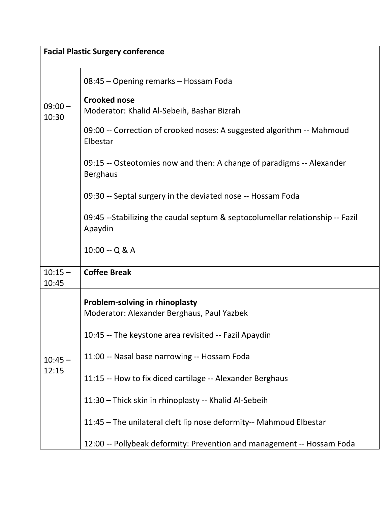## **Facial Plastic Surgery conference**

|                    | 08:45 - Opening remarks - Hossam Foda                                                    |
|--------------------|------------------------------------------------------------------------------------------|
| $09:00 -$<br>10:30 | <b>Crooked nose</b><br>Moderator: Khalid Al-Sebeih, Bashar Bizrah                        |
|                    | 09:00 -- Correction of crooked noses: A suggested algorithm -- Mahmoud<br>Elbestar       |
|                    | 09:15 -- Osteotomies now and then: A change of paradigms -- Alexander<br><b>Berghaus</b> |
|                    | 09:30 -- Septal surgery in the deviated nose -- Hossam Foda                              |
|                    | 09:45 --Stabilizing the caudal septum & septocolumellar relationship -- Fazil<br>Apaydin |
|                    | 10:00 -- Q & A                                                                           |
| $10:15 -$<br>10:45 | <b>Coffee Break</b>                                                                      |
|                    | Problem-solving in rhinoplasty<br>Moderator: Alexander Berghaus, Paul Yazbek             |
|                    | 10:45 -- The keystone area revisited -- Fazil Apaydin                                    |
| $10:45 -$          | 11:00 -- Nasal base narrowing -- Hossam Foda                                             |
| 12:15              | 11:15 -- How to fix diced cartilage -- Alexander Berghaus                                |
|                    | 11:30 - Thick skin in rhinoplasty -- Khalid Al-Sebeih                                    |
|                    |                                                                                          |
|                    | 11:45 - The unilateral cleft lip nose deformity-- Mahmoud Elbestar                       |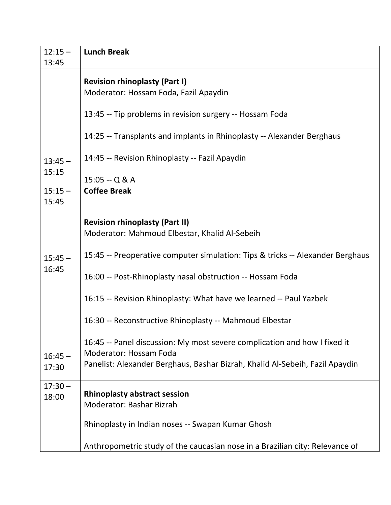| $12:15 -$<br>13:45 | <b>Lunch Break</b>                                                             |
|--------------------|--------------------------------------------------------------------------------|
|                    |                                                                                |
|                    | <b>Revision rhinoplasty (Part I)</b>                                           |
|                    | Moderator: Hossam Foda, Fazil Apaydin                                          |
|                    | 13:45 -- Tip problems in revision surgery -- Hossam Foda                       |
|                    | 14:25 -- Transplants and implants in Rhinoplasty -- Alexander Berghaus         |
| $13:45 -$          | 14:45 -- Revision Rhinoplasty -- Fazil Apaydin                                 |
| 15:15              | $15:05 - Q & A$                                                                |
| $15:15 -$          | <b>Coffee Break</b>                                                            |
| 15:45              |                                                                                |
|                    | <b>Revision rhinoplasty (Part II)</b>                                          |
|                    | Moderator: Mahmoud Elbestar, Khalid Al-Sebeih                                  |
| $15:45 -$<br>16:45 | 15:45 -- Preoperative computer simulation: Tips & tricks -- Alexander Berghaus |
|                    | 16:00 -- Post-Rhinoplasty nasal obstruction -- Hossam Foda                     |
|                    | 16:15 -- Revision Rhinoplasty: What have we learned -- Paul Yazbek             |
|                    | 16:30 -- Reconstructive Rhinoplasty -- Mahmoud Elbestar                        |
|                    | 16:45 -- Panel discussion: My most severe complication and how I fixed it      |
| $16:45 -$          | <b>Moderator: Hossam Foda</b>                                                  |
| 17:30              | Panelist: Alexander Berghaus, Bashar Bizrah, Khalid Al-Sebeih, Fazil Apaydin   |
| $17:30 -$          |                                                                                |
| 18:00              | <b>Rhinoplasty abstract session</b>                                            |
|                    | <b>Moderator: Bashar Bizrah</b>                                                |
|                    | Rhinoplasty in Indian noses -- Swapan Kumar Ghosh                              |
|                    | Anthropometric study of the caucasian nose in a Brazilian city: Relevance of   |